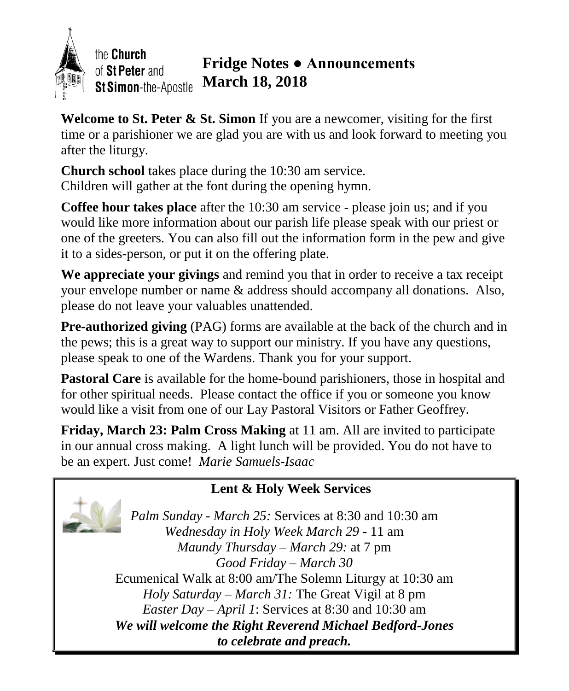

the Church of St Peter and St Simon-the-Apostle

## **Fridge Notes ● Announcements March 18, 2018**

**Welcome to St. Peter & St. Simon** If you are a newcomer, visiting for the first time or a parishioner we are glad you are with us and look forward to meeting you after the liturgy.

**Church school** takes place during the 10:30 am service. Children will gather at the font during the opening hymn.

**Coffee hour takes place** after the 10:30 am service - please join us; and if you would like more information about our parish life please speak with our priest or one of the greeters. You can also fill out the information form in the pew and give it to a sides-person, or put it on the offering plate.

**We appreciate your givings** and remind you that in order to receive a tax receipt your envelope number or name & address should accompany all donations. Also, please do not leave your valuables unattended.

**Pre-authorized giving** (PAG) forms are available at the back of the church and in the pews; this is a great way to support our ministry. If you have any questions, please speak to one of the Wardens. Thank you for your support.

**Pastoral Care** is available for the home-bound parishioners, those in hospital and for other spiritual needs. Please contact the office if you or someone you know would like a visit from one of our Lay Pastoral Visitors or Father Geoffrey.

**Friday, March 23: Palm Cross Making** at 11 am. All are invited to participate in our annual cross making. A light lunch will be provided. You do not have to be an expert. Just come! *Marie Samuels-Isaac*

#### **Lent & Holy Week Services**



*Palm Sunday - March 25:* Services at 8:30 and 10:30 am *Wednesday in Holy Week March 29 -* 11 am *Maundy Thursday – March 29:* at 7 pm *Good Friday – March 30* Ecumenical Walk at 8:00 am/The Solemn Liturgy at 10:30 am *Holy Saturday – March 31:* The Great Vigil at 8 pm *Easter Day – April 1*: Services at 8:30 and 10:30 am *We will welcome the Right Reverend Michael Bedford-Jones to celebrate and preach.*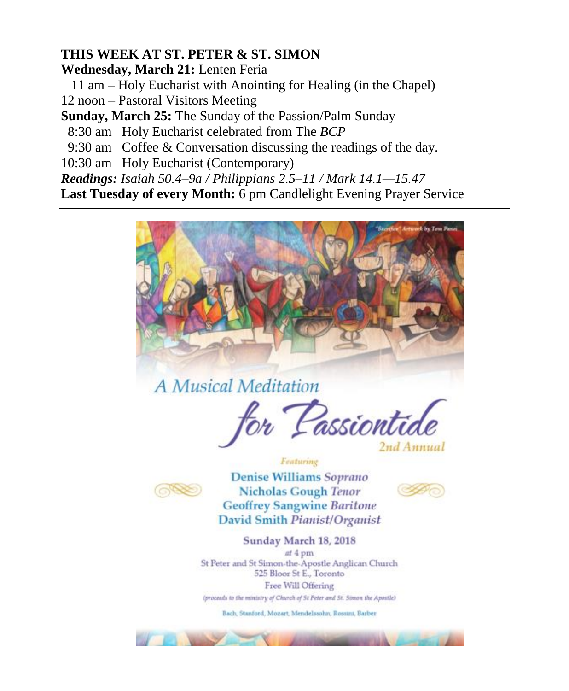#### **THIS WEEK AT ST. PETER & ST. SIMON**

**Wednesday, March 21:** Lenten Feria

11 am – Holy Eucharist with Anointing for Healing (in the Chapel)

12 noon – Pastoral Visitors Meeting

**Sunday, March 25:** The Sunday of the Passion/Palm Sunday

8:30 am Holy Eucharist celebrated from The *BCP*

9:30 am Coffee & Conversation discussing the readings of the day.

10:30 am Holy Eucharist (Contemporary)

*Readings: Isaiah 50.4–9a / Philippians 2.5–11 / Mark 14.1—15.47*

**Last Tuesday of every Month:** 6 pm Candlelight Evening Prayer Service



A Musical Meditation

<sup>f</sup>or Passiontie 2nd Annual

Featuring



Denise Williams Soprano **Nicholas Gough Tenor Geoffrey Sangwine Baritone** David Smith Pianist/Organist



Sunday March 18, 2018

at 4 pm St Peter and St Simon-the-Apostle Anglican Church 525 Bloor St E., Toronto Free Will Offering

(proceeds to the ministry of Church of St Peter and St. Simon the Apostle)

Bach, Stanford, Mozart, Mendelssohn, Rossini, Barber

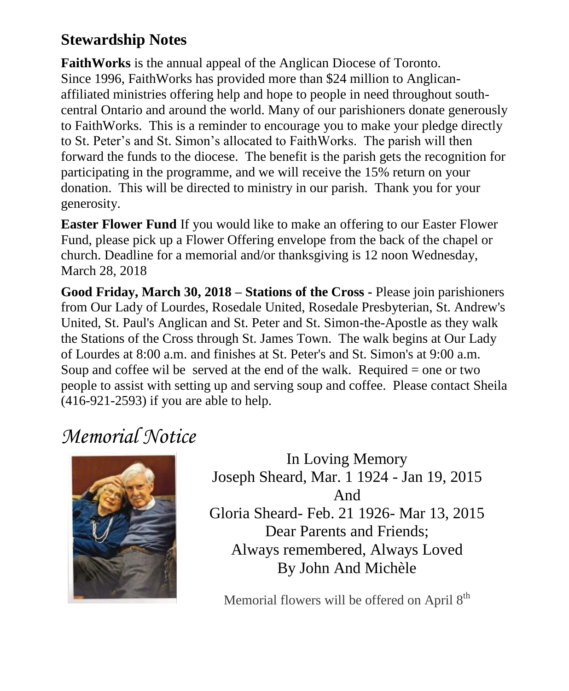## **Stewardship Notes**

**FaithWorks** is the annual appeal of the Anglican Diocese of Toronto. Since 1996, FaithWorks has provided more than \$24 million to Anglicanaffiliated ministries offering help and hope to people in need throughout southcentral Ontario and around the world. Many of our parishioners donate generously to FaithWorks. This is a reminder to encourage you to make your pledge directly to St. Peter's and St. Simon's allocated to FaithWorks. The parish will then forward the funds to the diocese. The benefit is the parish gets the recognition for participating in the programme, and we will receive the 15% return on your donation. This will be directed to ministry in our parish. Thank you for your generosity.

**Easter Flower Fund** If you would like to make an offering to our Easter Flower Fund, please pick up a Flower Offering envelope from the back of the chapel or church. Deadline for a memorial and/or thanksgiving is 12 noon Wednesday, March 28, 2018

**Good Friday, March 30, 2018 – Stations of the Cross -** Please join parishioners from Our Lady of Lourdes, Rosedale United, Rosedale Presbyterian, St. Andrew's United, St. Paul's Anglican and St. Peter and St. Simon-the-Apostle as they walk the Stations of the Cross through St. James Town. The walk begins at Our Lady of Lourdes at 8:00 a.m. and finishes at St. Peter's and St. Simon's at 9:00 a.m. Soup and coffee wil be served at the end of the walk. Required  $=$  one or two people to assist with setting up and serving soup and coffee. Please contact Sheila (416-921-2593) if you are able to help.

# *Memorial Notice*



In Loving Memory Joseph Sheard, Mar. 1 1924 - Jan 19, 2015 And Gloria Sheard- Feb. 21 1926- Mar 13, 2015 Dear Parents and Friends; Always remembered, Always Loved By John And Michèle

Memorial flowers will be offered on April 8<sup>th</sup>